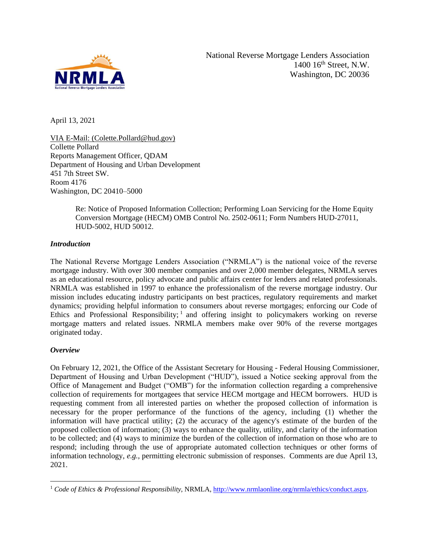

April 13, 2021

VIA E-Mail: (Colette.Pollard@hud.gov) Collette Pollard Reports Management Officer, QDAM Department of Housing and Urban Development 451 7th Street SW. Room 4176 Washington, DC 20410–5000

> Re: Notice of Proposed Information Collection; Performing Loan Servicing for the Home Equity Conversion Mortgage (HECM) OMB Control No. 2502-0611; Form Numbers HUD-27011, HUD-5002, HUD 50012.

## *Introduction*

The National Reverse Mortgage Lenders Association ("NRMLA") is the national voice of the reverse mortgage industry. With over 300 member companies and over 2,000 member delegates, NRMLA serves as an educational resource, policy advocate and public affairs center for lenders and related professionals. NRMLA was established in 1997 to enhance the professionalism of the reverse mortgage industry. Our mission includes educating industry participants on best practices, regulatory requirements and market dynamics; providing helpful information to consumers about reverse mortgages; enforcing our Code of Ethics and Professional Responsibility;  $\frac{1}{1}$  and offering insight to policymakers working on reverse mortgage matters and related issues. NRMLA members make over 90% of the reverse mortgages originated today.

## *Overview*

On February 12, 2021, the Office of the Assistant Secretary for Housing - Federal Housing Commissioner, Department of Housing and Urban Development ("HUD"), issued a Notice seeking approval from the Office of Management and Budget ("OMB") for the information collection regarding a comprehensive collection of requirements for mortgagees that service HECM mortgage and HECM borrowers. HUD is requesting comment from all interested parties on whether the proposed collection of information is necessary for the proper performance of the functions of the agency, including (1) whether the information will have practical utility; (2) the accuracy of the agency's estimate of the burden of the proposed collection of information; (3) ways to enhance the quality, utility, and clarity of the information to be collected; and (4) ways to minimize the burden of the collection of information on those who are to respond; including through the use of appropriate automated collection techniques or other forms of information technology, *e.g.,* permitting electronic submission of responses. Comments are due April 13, 2021.

<sup>&</sup>lt;sup>1</sup> *Code of Ethics & Professional Responsibility*, NRMLA, [http://www.nrmlaonline.org/nrmla/ethics/conduct.aspx.](http://www.nrmlaonline.org/nrmla/ethics/conduct.aspx)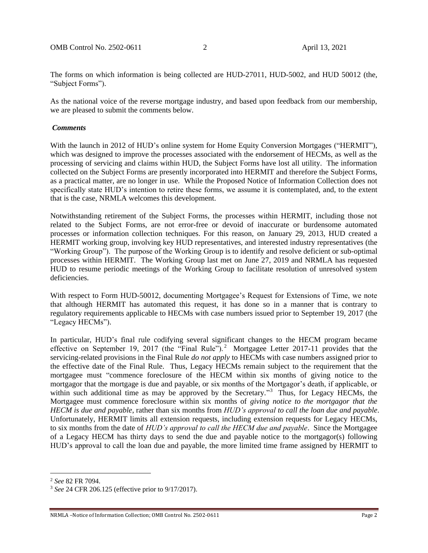The forms on which information is being collected are HUD-27011, HUD-5002, and HUD 50012 (the, "Subject Forms").

As the national voice of the reverse mortgage industry, and based upon feedback from our membership, we are pleased to submit the comments below.

## *Comments*

With the launch in 2012 of HUD's online system for Home Equity Conversion Mortgages ("HERMIT"), which was designed to improve the processes associated with the endorsement of HECMs, as well as the processing of servicing and claims within HUD, the Subject Forms have lost all utility. The information collected on the Subject Forms are presently incorporated into HERMIT and therefore the Subject Forms, as a practical matter, are no longer in use. While the Proposed Notice of Information Collection does not specifically state HUD's intention to retire these forms, we assume it is contemplated, and, to the extent that is the case, NRMLA welcomes this development.

Notwithstanding retirement of the Subject Forms, the processes within HERMIT, including those not related to the Subject Forms, are not error-free or devoid of inaccurate or burdensome automated processes or information collection techniques. For this reason, on January 29, 2013, HUD created a HERMIT working group, involving key HUD representatives, and interested industry representatives (the "Working Group"). The purpose of the Working Group is to identify and resolve deficient or sub-optimal processes within HERMIT. The Working Group last met on June 27, 2019 and NRMLA has requested HUD to resume periodic meetings of the Working Group to facilitate resolution of unresolved system deficiencies.

With respect to Form HUD-50012, documenting Mortgagee's Request for Extensions of Time, we note that although HERMIT has automated this request, it has done so in a manner that is contrary to regulatory requirements applicable to HECMs with case numbers issued prior to September 19, 2017 (the "Legacy HECMs").

In particular, HUD's final rule codifying several significant changes to the HECM program became effective on September 19, 2017 (the "Final Rule").<sup>2</sup> Mortgagee Letter 2017-11 provides that the servicing-related provisions in the Final Rule *do not apply* to HECMs with case numbers assigned prior to the effective date of the Final Rule. Thus, Legacy HECMs remain subject to the requirement that the mortgagee must "commence foreclosure of the HECM within six months of giving notice to the mortgagor that the mortgage is due and payable, or six months of the Mortgagor's death, if applicable, or within such additional time as may be approved by the Secretary."<sup>3</sup> Thus, for Legacy HECMs, the Mortgagee must commence foreclosure within six months of *giving notice to the mortgagor that the HECM is due and payable*, rather than six months from *HUD's approval to call the loan due and payable*. Unfortunately, HERMIT limits all extension requests, including extension requests for Legacy HECMs, to six months from the date of *HUD's approval to call the HECM due and payable*. Since the Mortgagee of a Legacy HECM has thirty days to send the due and payable notice to the mortgagor(s) following HUD's approval to call the loan due and payable, the more limited time frame assigned by HERMIT to

<sup>2</sup> *See* 82 FR 7094.

<sup>3</sup> *See* 24 CFR 206.125 (effective prior to 9/17/2017).